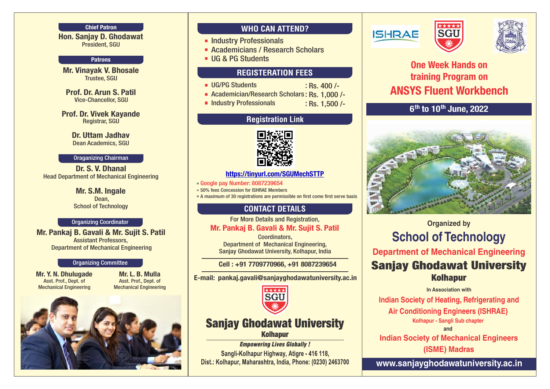#### Chief Patron

Hon. Sanjay D. Ghodawat President, SGU

#### **Patrons**

Mr. Vinayak V. Bhosale Trustee, SGU

Prof. Dr. Arun S. Patil Vice-Chancellor, SGU

Prof. Dr. Vivek Kayande Registrar, SGU

> Dr. Uttam Jadhav Dean Academics, SGU

#### Oraganizing Chairman

Dr. S. V. Dhanal Head Department of Mechanical Engineering

> Mr. S.M. Ingale Dean, School of Technology

#### Organizing Coordinator

Mr. Pankaj B. Gavali & Mr. Sujit S. Patil Assistant Professors, Department of Mechanical Engineering

#### Organizing Committee

Mr. Y. N. Dhulugade Asst. Prof., Dept. of Mechanical Engineering

Mr. L. B. Mulla Asst. Prof., Dept. of Mechanical Engineering



### **WHO CAN ATTEND?**

- **Industry Professionals**
- **Academicians / Research Scholars**
- UG & PG Students

### **REGISTERATION FEES**

- **UG/PG Students** 
	- Academician/Research Scholars : Rs. 1,000 /-
- **Industry Professionals**

: Rs. 1,500 /-

: Rs. 400 /-

### **Registration Link**



#### <https://tinyurl.com/SGUMechSTTP>

Google pay Number: 8087239654

**50% fees Concession for ISHRAE Members** 

A maximum of 30 registrations are permissible on first come first serve basis

### **CONTACT DETAILS**

For More Details and Registration,

#### Mr. Pankaj B. Gavali & Mr. Sujit S. Patil

Coordinators, Department of Mechanical Engineering, Sanjay Ghodawat University, Kolhapur, India

#### Cell : +91 7709770966, +91 8087239654

E-mail: pankaj.gavali@sanjayghodawatuniversity.ac.in



## **Sanjay Ghodawat University Kolhapur**

**Empowering Lives Globally!** Sangli-Kolhapur Highway, Atigre - 416 118, Dist.: Kolhapur, Maharashtra, India, Phone: (0230) 2463700







# One Week Hands on training Program on ANSYS Fluent Workbench

 $6<sup>th</sup>$  to 10<sup>th</sup> June, 2022



# **Organized by School of Technology Department of Mechanical Engineering Sanjay Ghodawat University Kolhapur**

#### **In Association with**

 **Indian Society of Heating, Refrigerating and** 

**Air Conditioning Engineers (ISHRAE)** 

**Kolhapur - Sangli Sub chapter**

**and**

 **Indian Society of Mechanical Engineers (ISME) Madras**

**www.sanjayghodawatuniversity.ac.in**